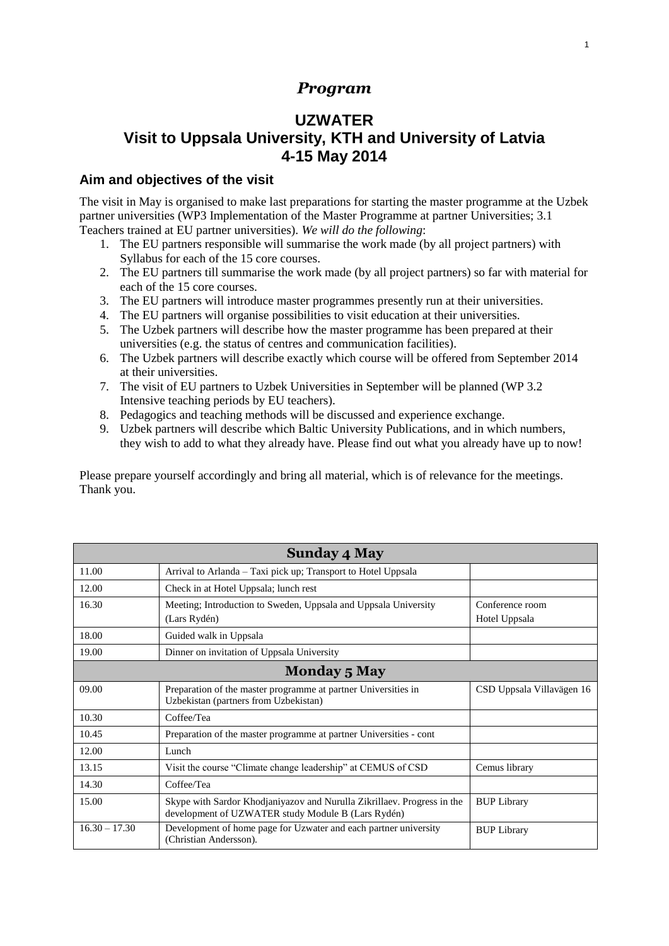#### *Program*

## **UZWATER Visit to Uppsala University, KTH and University of Latvia 4-15 May 2014**

#### **Aim and objectives of the visit**

The visit in May is organised to make last preparations for starting the master programme at the Uzbek partner universities (WP3 Implementation of the Master Programme at partner Universities; 3.1 Teachers trained at EU partner universities). *We will do the following*:

- 1. The EU partners responsible will summarise the work made (by all project partners) with Syllabus for each of the 15 core courses.
- 2. The EU partners till summarise the work made (by all project partners) so far with material for each of the 15 core courses.
- 3. The EU partners will introduce master programmes presently run at their universities.
- 4. The EU partners will organise possibilities to visit education at their universities.
- 5. The Uzbek partners will describe how the master programme has been prepared at their universities (e.g. the status of centres and communication facilities).
- 6. The Uzbek partners will describe exactly which course will be offered from September 2014 at their universities.
- 7. The visit of EU partners to Uzbek Universities in September will be planned (WP 3.2 Intensive teaching periods by EU teachers).
- 8. Pedagogics and teaching methods will be discussed and experience exchange.
- 9. Uzbek partners will describe which Baltic University Publications, and in which numbers, they wish to add to what they already have. Please find out what you already have up to now!

Please prepare yourself accordingly and bring all material, which is of relevance for the meetings. Thank you.

| <b>Sunday 4 May</b> |                                                                                                                               |                                  |  |
|---------------------|-------------------------------------------------------------------------------------------------------------------------------|----------------------------------|--|
| 11.00               | Arrival to Arlanda – Taxi pick up; Transport to Hotel Uppsala                                                                 |                                  |  |
| 12.00               | Check in at Hotel Uppsala; lunch rest                                                                                         |                                  |  |
| 16.30               | Meeting; Introduction to Sweden, Uppsala and Uppsala University<br>(Lars Rydén)                                               | Conference room<br>Hotel Uppsala |  |
| 18.00               | Guided walk in Uppsala                                                                                                        |                                  |  |
| 19.00               | Dinner on invitation of Uppsala University                                                                                    |                                  |  |
| <b>Monday 5 May</b> |                                                                                                                               |                                  |  |
| 09.00               | Preparation of the master programme at partner Universities in<br>Uzbekistan (partners from Uzbekistan)                       | CSD Uppsala Villavägen 16        |  |
| 10.30               | Coffee/Tea                                                                                                                    |                                  |  |
| 10.45               | Preparation of the master programme at partner Universities - cont                                                            |                                  |  |
| 12.00               | Lunch                                                                                                                         |                                  |  |
| 13.15               | Visit the course "Climate change leadership" at CEMUS of CSD                                                                  | Cemus library                    |  |
| 14.30               | Coffee/Tea                                                                                                                    |                                  |  |
| 15.00               | Skype with Sardor Khodjaniyazov and Nurulla Zikrillaev. Progress in the<br>development of UZWATER study Module B (Lars Rydén) | <b>BUP Library</b>               |  |
| $16.30 - 17.30$     | Development of home page for Uzwater and each partner university<br>(Christian Andersson).                                    | <b>BUP Library</b>               |  |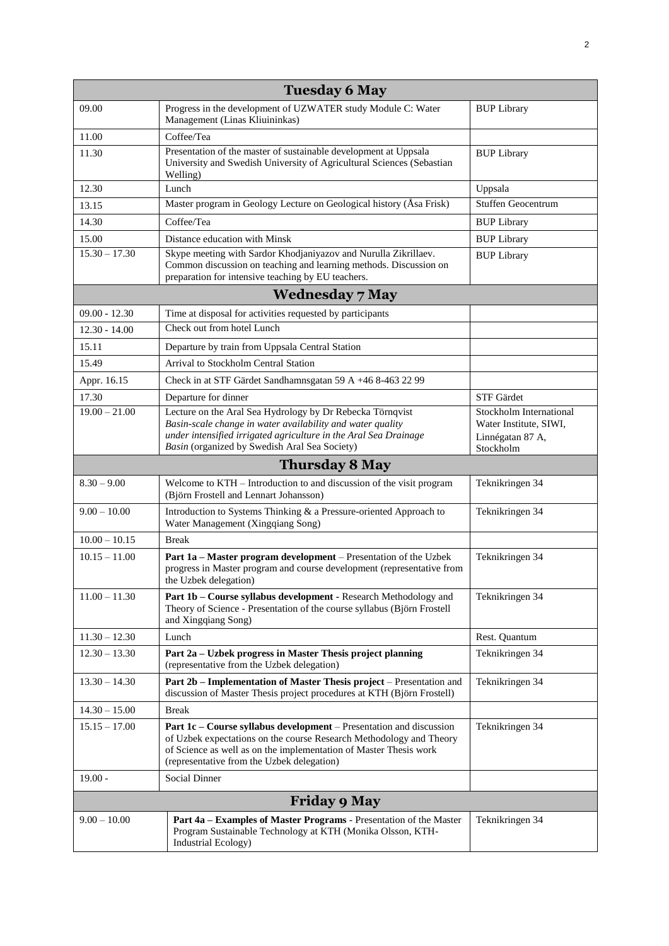| <b>Tuesday 6 May</b> |                                                                                                                                                                                                                                                               |                                                                                    |  |
|----------------------|---------------------------------------------------------------------------------------------------------------------------------------------------------------------------------------------------------------------------------------------------------------|------------------------------------------------------------------------------------|--|
| 09.00                | Progress in the development of UZWATER study Module C: Water<br>Management (Linas Kliuininkas)                                                                                                                                                                | <b>BUP Library</b>                                                                 |  |
| 11.00                | Coffee/Tea                                                                                                                                                                                                                                                    |                                                                                    |  |
| 11.30                | Presentation of the master of sustainable development at Uppsala<br>University and Swedish University of Agricultural Sciences (Sebastian<br>Welling)                                                                                                         | <b>BUP Library</b>                                                                 |  |
| 12.30                | Lunch                                                                                                                                                                                                                                                         | Uppsala                                                                            |  |
| 13.15                | Master program in Geology Lecture on Geological history (Åsa Frisk)                                                                                                                                                                                           | Stuffen Geocentrum                                                                 |  |
| 14.30                | Coffee/Tea                                                                                                                                                                                                                                                    | <b>BUP Library</b>                                                                 |  |
| 15.00                | Distance education with Minsk                                                                                                                                                                                                                                 | <b>BUP Library</b>                                                                 |  |
| $15.30 - 17.30$      | Skype meeting with Sardor Khodjaniyazov and Nurulla Zikrillaev.<br>Common discussion on teaching and learning methods. Discussion on<br>preparation for intensive teaching by EU teachers.                                                                    | <b>BUP Library</b>                                                                 |  |
|                      | <b>Wednesday 7 May</b>                                                                                                                                                                                                                                        |                                                                                    |  |
| $09.00 - 12.30$      | Time at disposal for activities requested by participants                                                                                                                                                                                                     |                                                                                    |  |
| $12.30 - 14.00$      | Check out from hotel Lunch                                                                                                                                                                                                                                    |                                                                                    |  |
| 15.11                | Departure by train from Uppsala Central Station                                                                                                                                                                                                               |                                                                                    |  |
| 15.49                | Arrival to Stockholm Central Station                                                                                                                                                                                                                          |                                                                                    |  |
| Appr. 16.15          | Check in at STF Gärdet Sandhamnsgatan 59 A +46 8-463 22 99                                                                                                                                                                                                    |                                                                                    |  |
| 17.30                | Departure for dinner                                                                                                                                                                                                                                          | STF Gärdet                                                                         |  |
| $19.00 - 21.00$      | Lecture on the Aral Sea Hydrology by Dr Rebecka Törnqvist<br>Basin-scale change in water availability and water quality<br>under intensified irrigated agriculture in the Aral Sea Drainage<br>Basin (organized by Swedish Aral Sea Society)                  | Stockholm International<br>Water Institute, SIWI,<br>Linnégatan 87 A,<br>Stockholm |  |
|                      | <b>Thursday 8 May</b>                                                                                                                                                                                                                                         |                                                                                    |  |
| $8.30 - 9.00$        | Welcome to KTH - Introduction to and discussion of the visit program<br>(Björn Frostell and Lennart Johansson)                                                                                                                                                | Teknikringen 34                                                                    |  |
| $9.00 - 10.00$       | Introduction to Systems Thinking & a Pressure-oriented Approach to<br>Water Management (Xingqiang Song)                                                                                                                                                       | Teknikringen 34                                                                    |  |
| $10.00 - 10.15$      | <b>Break</b>                                                                                                                                                                                                                                                  |                                                                                    |  |
| $10.15 - 11.00$      | Part 1a - Master program development - Presentation of the Uzbek<br>progress in Master program and course development (representative from<br>the Uzbek delegation)                                                                                           | Teknikringen 34                                                                    |  |
| $11.00 - 11.30$      | Part 1b - Course syllabus development - Research Methodology and<br>Theory of Science - Presentation of the course syllabus (Björn Frostell<br>and Xingqiang Song)                                                                                            | Teknikringen 34                                                                    |  |
| $11.30 - 12.30$      | Lunch                                                                                                                                                                                                                                                         | Rest. Quantum                                                                      |  |
| $12.30 - 13.30$      | Part 2a - Uzbek progress in Master Thesis project planning<br>(representative from the Uzbek delegation)                                                                                                                                                      | Teknikringen 34                                                                    |  |
| $13.30 - 14.30$      | Part 2b - Implementation of Master Thesis project - Presentation and<br>discussion of Master Thesis project procedures at KTH (Björn Frostell)                                                                                                                | Teknikringen 34                                                                    |  |
| $14.30 - 15.00$      | <b>Break</b>                                                                                                                                                                                                                                                  |                                                                                    |  |
| $15.15 - 17.00$      | Part 1c – Course syllabus development – Presentation and discussion<br>of Uzbek expectations on the course Research Methodology and Theory<br>of Science as well as on the implementation of Master Thesis work<br>(representative from the Uzbek delegation) | Teknikringen 34                                                                    |  |
| $19.00 -$            | Social Dinner                                                                                                                                                                                                                                                 |                                                                                    |  |
| <b>Friday 9 May</b>  |                                                                                                                                                                                                                                                               |                                                                                    |  |
| $9.00 - 10.00$       | Part 4a - Examples of Master Programs - Presentation of the Master<br>Program Sustainable Technology at KTH (Monika Olsson, KTH-<br>Industrial Ecology)                                                                                                       | Teknikringen 34                                                                    |  |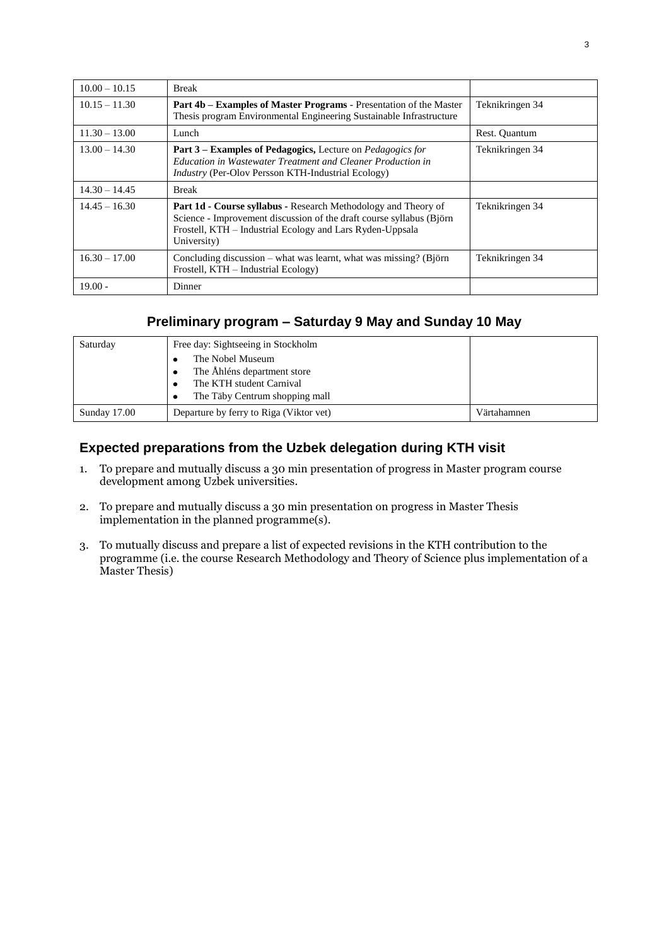| $10.00 - 10.15$ | <b>Break</b>                                                                                                                                                                                                              |                 |
|-----------------|---------------------------------------------------------------------------------------------------------------------------------------------------------------------------------------------------------------------------|-----------------|
| $10.15 - 11.30$ | <b>Part 4b – Examples of Master Programs - Presentation of the Master</b><br>Thesis program Environmental Engineering Sustainable Infrastructure                                                                          | Teknikringen 34 |
| $11.30 - 13.00$ | Lunch                                                                                                                                                                                                                     | Rest. Quantum   |
| $13.00 - 14.30$ | <b>Part 3 – Examples of Pedagogics, Lecture on Pedagogics for</b><br>Education in Wastewater Treatment and Cleaner Production in<br><i>Industry</i> (Per-Olov Persson KTH-Industrial Ecology)                             | Teknikringen 34 |
| $14.30 - 14.45$ | <b>Break</b>                                                                                                                                                                                                              |                 |
| $14.45 - 16.30$ | <b>Part 1d - Course syllabus - Research Methodology and Theory of</b><br>Science - Improvement discussion of the draft course syllabus (Biörn<br>Frostell, KTH - Industrial Ecology and Lars Ryden-Uppsala<br>University) | Teknikringen 34 |
| $16.30 - 17.00$ | Concluding discussion – what was learnt, what was missing? (Björn<br>Frostell, KTH - Industrial Ecology)                                                                                                                  | Teknikringen 34 |
| $19.00 -$       | Dinner                                                                                                                                                                                                                    |                 |

### **Preliminary program – Saturday 9 May and Sunday 10 May**

| Saturday     | Free day: Sightseeing in Stockholm<br>The Nobel Museum<br>The Åhléns department store<br>The KTH student Carnival<br>The Täby Centrum shopping mall<br>٠ |             |
|--------------|----------------------------------------------------------------------------------------------------------------------------------------------------------|-------------|
| Sunday 17.00 | Departure by ferry to Riga (Viktor vet)                                                                                                                  | Värtahamnen |

#### **Expected preparations from the Uzbek delegation during KTH visit**

- 1. To prepare and mutually discuss a 30 min presentation of progress in Master program course development among Uzbek universities.
- 2. To prepare and mutually discuss a 30 min presentation on progress in Master Thesis implementation in the planned programme(s).
- 3. To mutually discuss and prepare a list of expected revisions in the KTH contribution to the programme (i.e. the course Research Methodology and Theory of Science plus implementation of a Master Thesis)